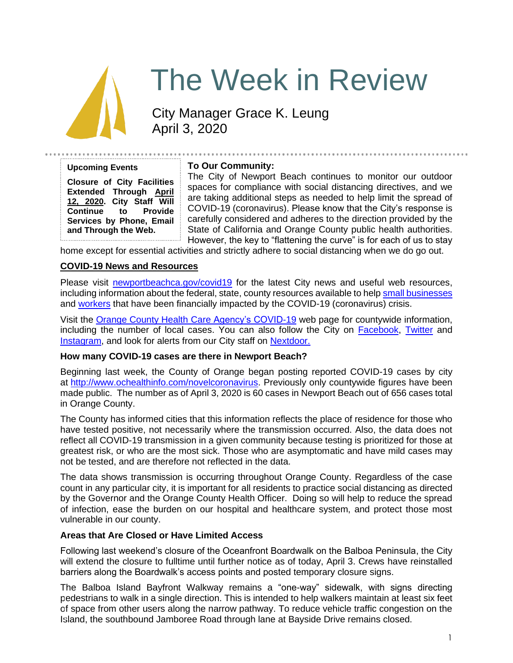

# The Week in Review

City Manager Grace K. Leung April 3, 2020

#### **Upcoming Events**

**Closure of City Facilities Extended Through April 12, 2020. City Staff Will Continue to Provide Services by Phone, Email and Through the Web.**

# **To Our Community:**

The City of Newport Beach continues to monitor our outdoor spaces for compliance with social distancing directives, and we are taking additional steps as needed to help limit the spread of COVID-19 (coronavirus). Please know that the City's response is carefully considered and adheres to the direction provided by the State of California and Orange County public health authorities. However, the key to "flattening the curve" is for each of us to stay

home except for essential activities and strictly adhere to social distancing when we do go out.

## **COVID-19 News and Resources**

Please visit [newportbeachca.gov/covid19](https://www.newportbeachca.gov/how-do-i/find/disaster-preparedness-information/disease-outbreak/-fsiteid-1) for the latest City news and useful web resources, including information about the federal, state, county resources available to help [small businesses](https://www.newportbeachca.gov/government/departments/city-manager/economic-development/small-business-support) and [workers](https://www.newportbeachca.gov/government/departments/city-manager/economic-development/support-for-employees) that have been financially impacted by the COVID-19 (coronavirus) crisis.

Visit the [Orange County Health Care Agency's COVID-19](https://www.ochealthinfo.com/phs/about/epidasmt/epi/dip/prevention/novel_coronavirus) web page for countywide information, including the number of local cases. You can also follow the City on [Facebook,](https://www.facebook.com/pg/CityofNewportBeach) [Twitter](https://twitter.com/newportbeachgov) and [Instagram,](https://www.instagram.com/cityofnewportbeach/) and look for alerts from our City staff on [Nextdoor.](https://nextdoor.com/agency/city-of-newport-beach/?i=ltdytbjdbdkntfqttgcm)

#### **How many COVID-19 cases are there in Newport Beach?**

Beginning last week, the County of Orange began posting reported COVID-19 cases by city at [http://www.ochealthinfo.com/novelcoronavirus.](http://www.ochealthinfo.com/novelcoronavirus) Previously only countywide figures have been made public. The number as of April 3, 2020 is 60 cases in Newport Beach out of 656 cases total in Orange County.

The County has informed cities that this information reflects the place of residence for those who have tested positive, not necessarily where the transmission occurred. Also, the data does not reflect all COVID-19 transmission in a given community because testing is prioritized for those at greatest risk, or who are the most sick. Those who are asymptomatic and have mild cases may not be tested, and are therefore not reflected in the data.

The data shows transmission is occurring throughout Orange County. Regardless of the case count in any particular city, it is important for all residents to practice social distancing as directed by the Governor and the Orange County Health Officer. Doing so will help to reduce the spread of infection, ease the burden on our hospital and healthcare system, and protect those most vulnerable in our county.

## **Areas that Are Closed or Have Limited Access**

Following last weekend's closure of the Oceanfront Boardwalk on the Balboa Peninsula, the City will extend the closure to fulltime until further notice as of today, April 3. Crews have reinstalled barriers along the Boardwalk's access points and posted temporary closure signs.

The Balboa Island Bayfront Walkway remains a "one-way" sidewalk, with signs directing pedestrians to walk in a single direction. This is intended to help walkers maintain at least six feet of space from other users along the narrow pathway. To reduce vehicle traffic congestion on the Island, the southbound Jamboree Road through lane at Bayside Drive remains closed.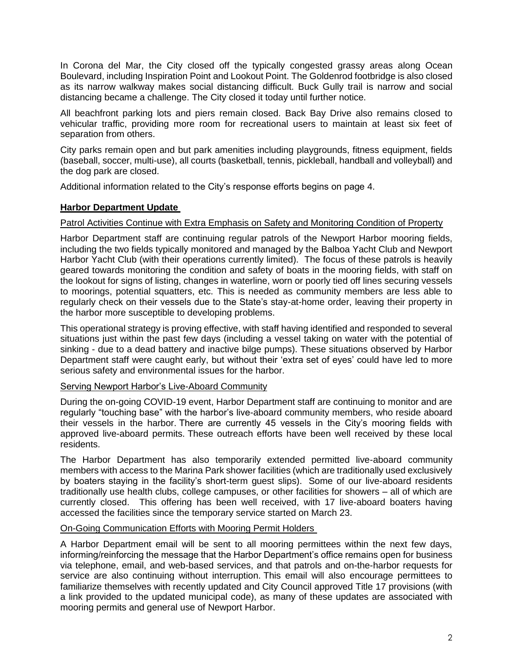In Corona del Mar, the City closed off the typically congested grassy areas along Ocean Boulevard, including Inspiration Point and Lookout Point. The Goldenrod footbridge is also closed as its narrow walkway makes social distancing difficult. Buck Gully trail is narrow and social distancing became a challenge. The City closed it today until further notice.

All beachfront parking lots and piers remain closed. Back Bay Drive also remains closed to vehicular traffic, providing more room for recreational users to maintain at least six feet of separation from others.

City parks remain open and but park amenities including playgrounds, fitness equipment, fields (baseball, soccer, multi-use), all courts (basketball, tennis, pickleball, handball and volleyball) and the dog park are closed.

Additional information related to the City's response efforts begins on page 4.

## **Harbor Department Update**

## Patrol Activities Continue with Extra Emphasis on Safety and Monitoring Condition of Property

Harbor Department staff are continuing regular patrols of the Newport Harbor mooring fields, including the two fields typically monitored and managed by the Balboa Yacht Club and Newport Harbor Yacht Club (with their operations currently limited). The focus of these patrols is heavily geared towards monitoring the condition and safety of boats in the mooring fields, with staff on the lookout for signs of listing, changes in waterline, worn or poorly tied off lines securing vessels to moorings, potential squatters, etc. This is needed as community members are less able to regularly check on their vessels due to the State's stay-at-home order, leaving their property in the harbor more susceptible to developing problems.

This operational strategy is proving effective, with staff having identified and responded to several situations just within the past few days (including a vessel taking on water with the potential of sinking - due to a dead battery and inactive bilge pumps). These situations observed by Harbor Department staff were caught early, but without their 'extra set of eyes' could have led to more serious safety and environmental issues for the harbor.

## Serving Newport Harbor's Live-Aboard Community

During the on-going COVID-19 event, Harbor Department staff are continuing to monitor and are regularly "touching base" with the harbor's live-aboard community members, who reside aboard their vessels in the harbor. There are currently 45 vessels in the City's mooring fields with approved live-aboard permits. These outreach efforts have been well received by these local residents.

The Harbor Department has also temporarily extended permitted live-aboard community members with access to the Marina Park shower facilities (which are traditionally used exclusively by boaters staying in the facility's short-term guest slips). Some of our live-aboard residents traditionally use health clubs, college campuses, or other facilities for showers – all of which are currently closed. This offering has been well received, with 17 live-aboard boaters having accessed the facilities since the temporary service started on March 23.

## On-Going Communication Efforts with Mooring Permit Holders

A Harbor Department email will be sent to all mooring permittees within the next few days, informing/reinforcing the message that the Harbor Department's office remains open for business via telephone, email, and web-based services, and that patrols and on-the-harbor requests for service are also continuing without interruption. This email will also encourage permittees to familiarize themselves with recently updated and City Council approved Title 17 provisions (with a link provided to the updated municipal code), as many of these updates are associated with mooring permits and general use of Newport Harbor.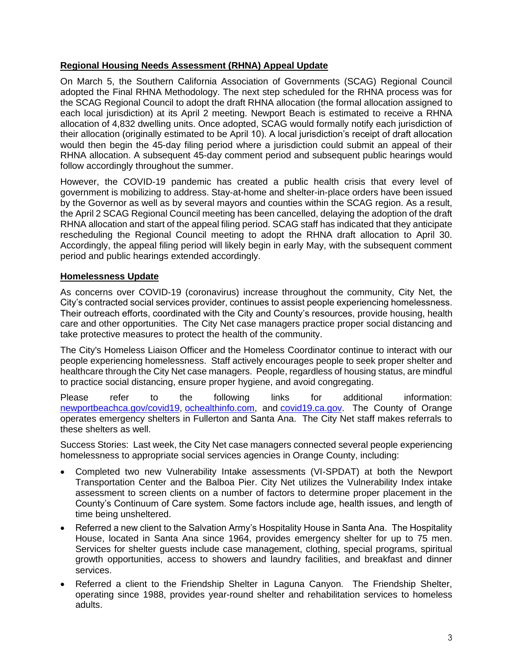# **Regional Housing Needs Assessment (RHNA) Appeal Update**

On March 5, the Southern California Association of Governments (SCAG) Regional Council adopted the Final RHNA Methodology. The next step scheduled for the RHNA process was for the SCAG Regional Council to adopt the draft RHNA allocation (the formal allocation assigned to each local jurisdiction) at its April 2 meeting. Newport Beach is estimated to receive a RHNA allocation of 4,832 dwelling units. Once adopted, SCAG would formally notify each jurisdiction of their allocation (originally estimated to be April 10). A local jurisdiction's receipt of draft allocation would then begin the 45-day filing period where a jurisdiction could submit an appeal of their RHNA allocation. A subsequent 45-day comment period and subsequent public hearings would follow accordingly throughout the summer.

However, the COVID-19 pandemic has created a public health crisis that every level of government is mobilizing to address. Stay-at-home and shelter-in-place orders have been issued by the Governor as well as by several mayors and counties within the SCAG region. As a result, the April 2 SCAG Regional Council meeting has been cancelled, delaying the adoption of the draft RHNA allocation and start of the appeal filing period. SCAG staff has indicated that they anticipate rescheduling the Regional Council meeting to adopt the RHNA draft allocation to April 30. Accordingly, the appeal filing period will likely begin in early May, with the subsequent comment period and public hearings extended accordingly.

## **Homelessness Update**

As concerns over COVID-19 (coronavirus) increase throughout the community, City Net, the City's contracted social services provider, continues to assist people experiencing homelessness. Their outreach efforts, coordinated with the City and County's resources, provide housing, health care and other opportunities. The City Net case managers practice proper social distancing and take protective measures to protect the health of the community.

The City's Homeless Liaison Officer and the Homeless Coordinator continue to interact with our people experiencing homelessness. Staff actively encourages people to seek proper shelter and healthcare through the City Net case managers. People, regardless of housing status, are mindful to practice social distancing, ensure proper hygiene, and avoid congregating.

Please refer to the following links for additional information: [newportbeachca.gov/covid19,](http://newportbeachca.gov/covid19) [ochealthinfo.com,](http://ochealthinfo.com/) and [covid19.ca.gov.](http://covid19.ca.gov/) The County of Orange operates emergency shelters in Fullerton and Santa Ana. The City Net staff makes referrals to these shelters as well.

Success Stories: Last week, the City Net case managers connected several people experiencing homelessness to appropriate social services agencies in Orange County, including:

- Completed two new Vulnerability Intake assessments (VI-SPDAT) at both the Newport Transportation Center and the Balboa Pier. City Net utilizes the Vulnerability Index intake assessment to screen clients on a number of factors to determine proper placement in the County's Continuum of Care system. Some factors include age, health issues, and length of time being unsheltered.
- Referred a new client to the Salvation Army's Hospitality House in Santa Ana. The Hospitality House, located in Santa Ana since 1964, provides emergency shelter for up to 75 men. Services for shelter guests include case management, clothing, special programs, spiritual growth opportunities, access to showers and laundry facilities, and breakfast and dinner services.
- Referred a client to the Friendship Shelter in Laguna Canyon. The Friendship Shelter, operating since 1988, provides year-round shelter and rehabilitation services to homeless adults.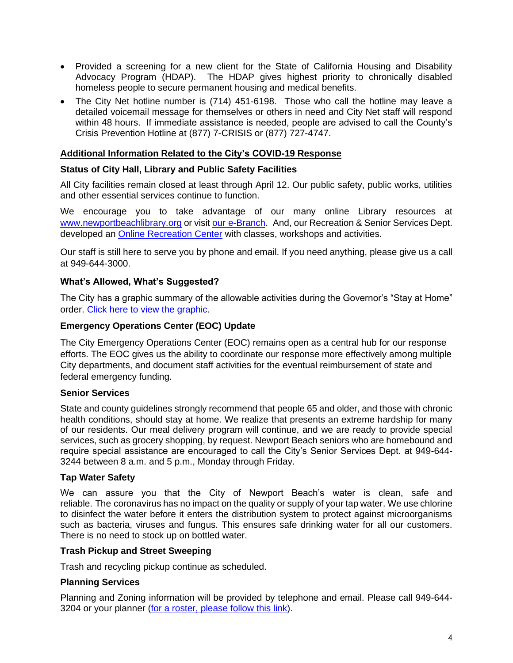- Provided a screening for a new client for the State of California Housing and Disability Advocacy Program (HDAP). The HDAP gives highest priority to chronically disabled homeless people to secure permanent housing and medical benefits.
- The City Net hotline number is (714) 451-6198. Those who call the hotline may leave a detailed voicemail message for themselves or others in need and City Net staff will respond within 48 hours. If immediate assistance is needed, people are advised to call the County's Crisis Prevention Hotline at (877) 7-CRISIS or (877) 727-4747.

# **Additional Information Related to the City's COVID-19 Response**

## **Status of City Hall, Library and Public Safety Facilities**

All City facilities remain closed at least through April 12. Our public safety, public works, utilities and other essential services continue to function.

We encourage you to take advantage of our many online Library resources at [www.newportbeachlibrary.org](http://www.newportbeachlibrary.org/) or visit our [e-Branch.](https://www.newportbeachlibrary.org/ebranch) And, our Recreation & Senior Services Dept. developed an [Online Recreation Center](https://newportbeachca.gov/government/departments/recreation-senior-services/online-recreation-center) with classes, workshops and activities.

Our staff is still here to serve you by phone and email. If you need anything, please give us a call at 949-644-3000.

## **What's Allowed, What's Suggested?**

The City has a graphic summary of the allowable activities during the Governor's "Stay at Home" order. [Click here to view the graphic.](https://www.newportbeachca.gov/Home/ShowImage?id=51025&t=637208285551457698)

## **Emergency Operations Center (EOC) Update**

The City Emergency Operations Center (EOC) remains open as a central hub for our response efforts. The EOC gives us the ability to coordinate our response more effectively among multiple City departments, and document staff activities for the eventual reimbursement of state and federal emergency funding.

## **Senior Services**

State and county guidelines strongly recommend that people 65 and older, and those with chronic health conditions, should stay at home. We realize that presents an extreme hardship for many of our residents. Our meal delivery program will continue, and we are ready to provide special services, such as grocery shopping, by request. Newport Beach seniors who are homebound and require special assistance are encouraged to call the City's Senior Services Dept. at 949-644- 3244 between 8 a.m. and 5 p.m., Monday through Friday.

## **Tap Water Safety**

We can assure you that the City of Newport Beach's water is clean, safe and reliable. The coronavirus has no impact on the quality or supply of your tap water. We use chlorine to disinfect the water before it enters the distribution system to protect against microorganisms such as bacteria, viruses and fungus. This ensures safe drinking water for all our customers. There is no need to stock up on bottled water.

## **Trash Pickup and Street Sweeping**

Trash and recycling pickup continue as scheduled.

## **Planning Services**

Planning and Zoning information will be provided by telephone and email. Please call 949-644- 3204 or your planner [\(for a roster, please follow](https://www.newportbeachca.gov/government/departments/community-development/planning-division/operational-hours-staff#B4) this link).